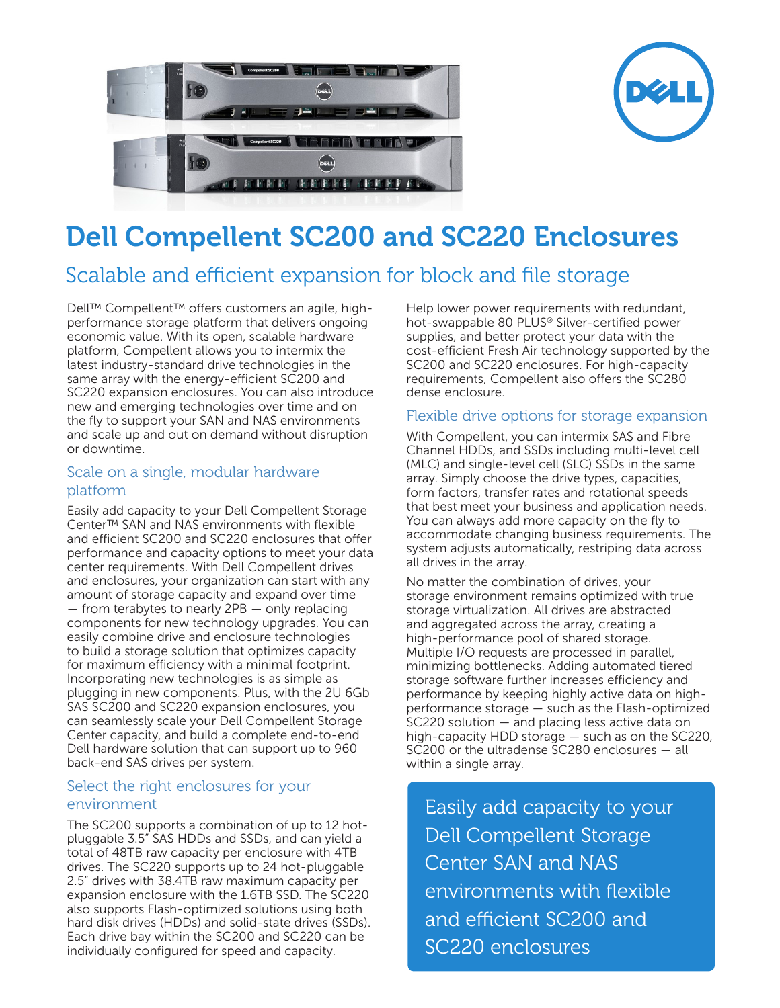



# **Dell Compellent SC200 and SC220 Enclosures**

## Scalable and efficient expansion for block and file storage

Dell™ Compellent™ offers customers an agile, highperformance storage platform that delivers ongoing economic value. With its open, scalable hardware platform, Compellent allows you to intermix the latest industry-standard drive technologies in the same array with the energy-efficient SC200 and SC220 expansion enclosures. You can also introduce new and emerging technologies over time and on the fly to support your SAN and NAS environments and scale up and out on demand without disruption or downtime.

#### Scale on a single, modular hardware platform

Easily add capacity to your Dell Compellent Storage Center™ SAN and NAS environments with flexible and efficient SC200 and SC220 enclosures that offer performance and capacity options to meet your data center requirements. With Dell Compellent drives and enclosures, your organization can start with any amount of storage capacity and expand over time — from terabytes to nearly 2PB — only replacing components for new technology upgrades. You can easily combine drive and enclosure technologies to build a storage solution that optimizes capacity for maximum efficiency with a minimal footprint. Incorporating new technologies is as simple as plugging in new components. Plus, with the 2U 6Gb SAS SC200 and SC220 expansion enclosures, you can seamlessly scale your Dell Compellent Storage Center capacity, and build a complete end-to-end Dell hardware solution that can support up to 960 back-end SAS drives per system.

#### Select the right enclosures for your environment

The SC200 supports a combination of up to 12 hotpluggable 3.5" SAS HDDs and SSDs, and can yield a total of 48TB raw capacity per enclosure with 4TB drives. The SC220 supports up to 24 hot-pluggable 2.5" drives with 38.4TB raw maximum capacity per expansion enclosure with the 1.6TB SSD. The SC220 also supports Flash-optimized solutions using both hard disk drives (HDDs) and solid-state drives (SSDs). Each drive bay within the SC200 and SC220 can be individually configured for speed and capacity.

Help lower power requirements with redundant, hot-swappable 80 PLUS® Silver-certified power supplies, and better protect your data with the cost-efficient Fresh Air technology supported by the SC200 and SC220 enclosures. For high-capacity requirements, Compellent also offers the SC280 dense enclosure.

#### Flexible drive options for storage expansion

With Compellent, you can intermix SAS and Fibre Channel HDDs, and SSDs including multi-level cell (MLC) and single-level cell (SLC) SSDs in the same array. Simply choose the drive types, capacities, form factors, transfer rates and rotational speeds that best meet your business and application needs. You can always add more capacity on the fly to accommodate changing business requirements. The system adjusts automatically, restriping data across all drives in the array.

No matter the combination of drives, your storage environment remains optimized with true storage virtualization. All drives are abstracted and aggregated across the array, creating a high-performance pool of shared storage. Multiple I/O requests are processed in parallel, minimizing bottlenecks. Adding automated tiered storage software further increases efficiency and performance by keeping highly active data on highperformance storage — such as the Flash-optimized SC220 solution — and placing less active data on high-capacity HDD storage — such as on the SC220, SC200 or the ultradense SC280 enclosures — all within a single array.

Easily add capacity to your Dell Compellent Storage Center SAN and NAS environments with flexible and efficient SC200 and SC220 enclosures